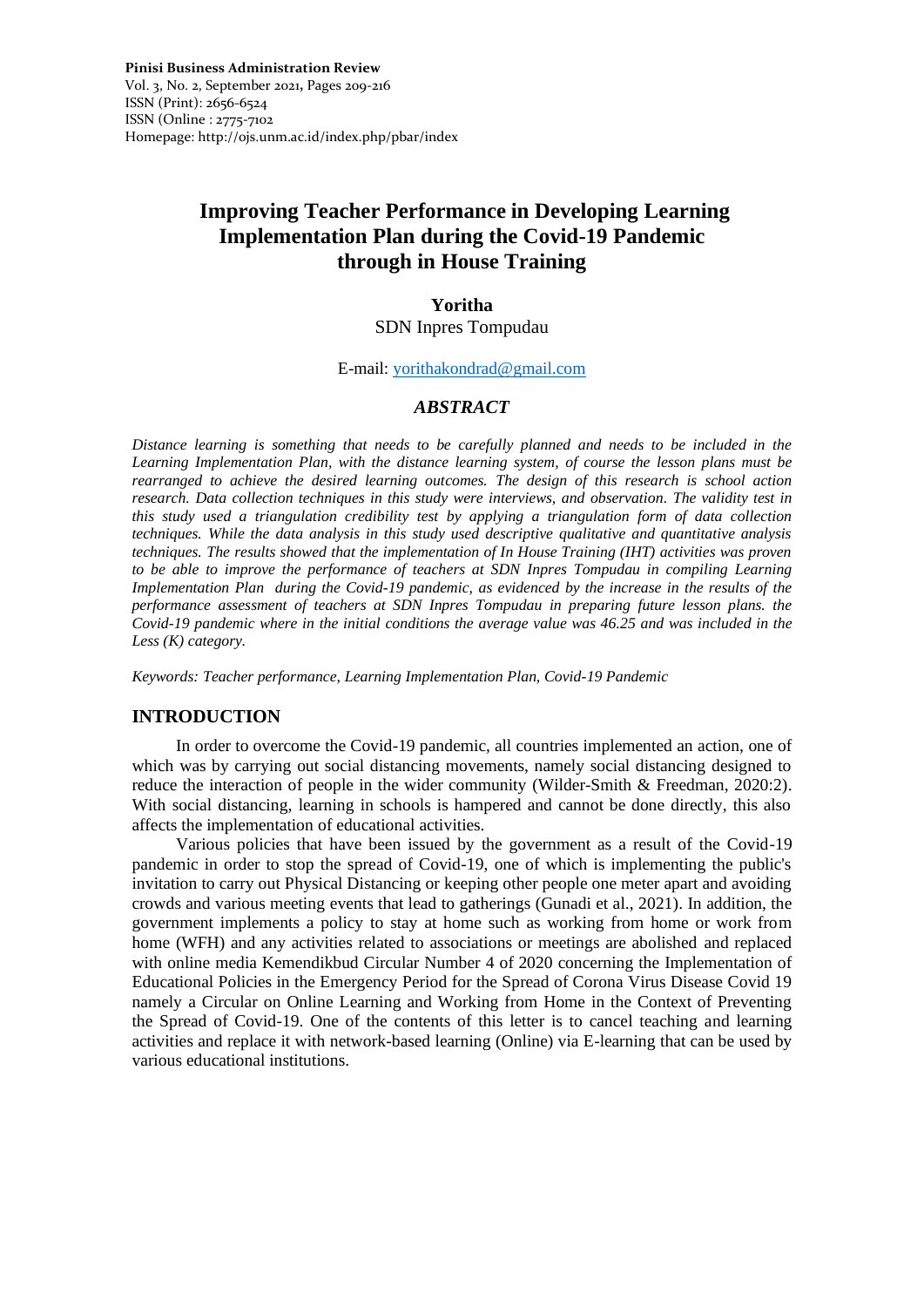# **Improving Teacher Performance in Developing Learning Implementation Plan during the Covid-19 Pandemic through in House Training**

# **Yoritha**

SDN Inpres Tompudau

#### E-mail: [yorithakondrad@gmail.com](mailto:yorithakondrad@gmail.com)

## *ABSTRACT*

*Distance learning is something that needs to be carefully planned and needs to be included in the Learning Implementation Plan, with the distance learning system, of course the lesson plans must be rearranged to achieve the desired learning outcomes. The design of this research is school action research. Data collection techniques in this study were interviews, and observation. The validity test in this study used a triangulation credibility test by applying a triangulation form of data collection techniques. While the data analysis in this study used descriptive qualitative and quantitative analysis techniques. The results showed that the implementation of In House Training (IHT) activities was proven to be able to improve the performance of teachers at SDN Inpres Tompudau in compiling Learning Implementation Plan during the Covid-19 pandemic, as evidenced by the increase in the results of the performance assessment of teachers at SDN Inpres Tompudau in preparing future lesson plans. the Covid-19 pandemic where in the initial conditions the average value was 46.25 and was included in the Less (K) category.*

*Keywords: Teacher performance, Learning Implementation Plan, Covid-19 Pandemic*

# **INTRODUCTION**

In order to overcome the Covid-19 pandemic, all countries implemented an action, one of which was by carrying out social distancing movements, namely social distancing designed to reduce the interaction of people in the wider community (Wilder-Smith & Freedman, 2020:2). With social distancing, learning in schools is hampered and cannot be done directly, this also affects the implementation of educational activities.

Various policies that have been issued by the government as a result of the Covid-19 pandemic in order to stop the spread of Covid-19, one of which is implementing the public's invitation to carry out Physical Distancing or keeping other people one meter apart and avoiding crowds and various meeting events that lead to gatherings (Gunadi et al., 2021). In addition, the government implements a policy to stay at home such as working from home or work from home (WFH) and any activities related to associations or meetings are abolished and replaced with online media Kemendikbud Circular Number 4 of 2020 concerning the Implementation of Educational Policies in the Emergency Period for the Spread of Corona Virus Disease Covid 19 namely a Circular on Online Learning and Working from Home in the Context of Preventing the Spread of Covid-19. One of the contents of this letter is to cancel teaching and learning activities and replace it with network-based learning (Online) via E-learning that can be used by various educational institutions.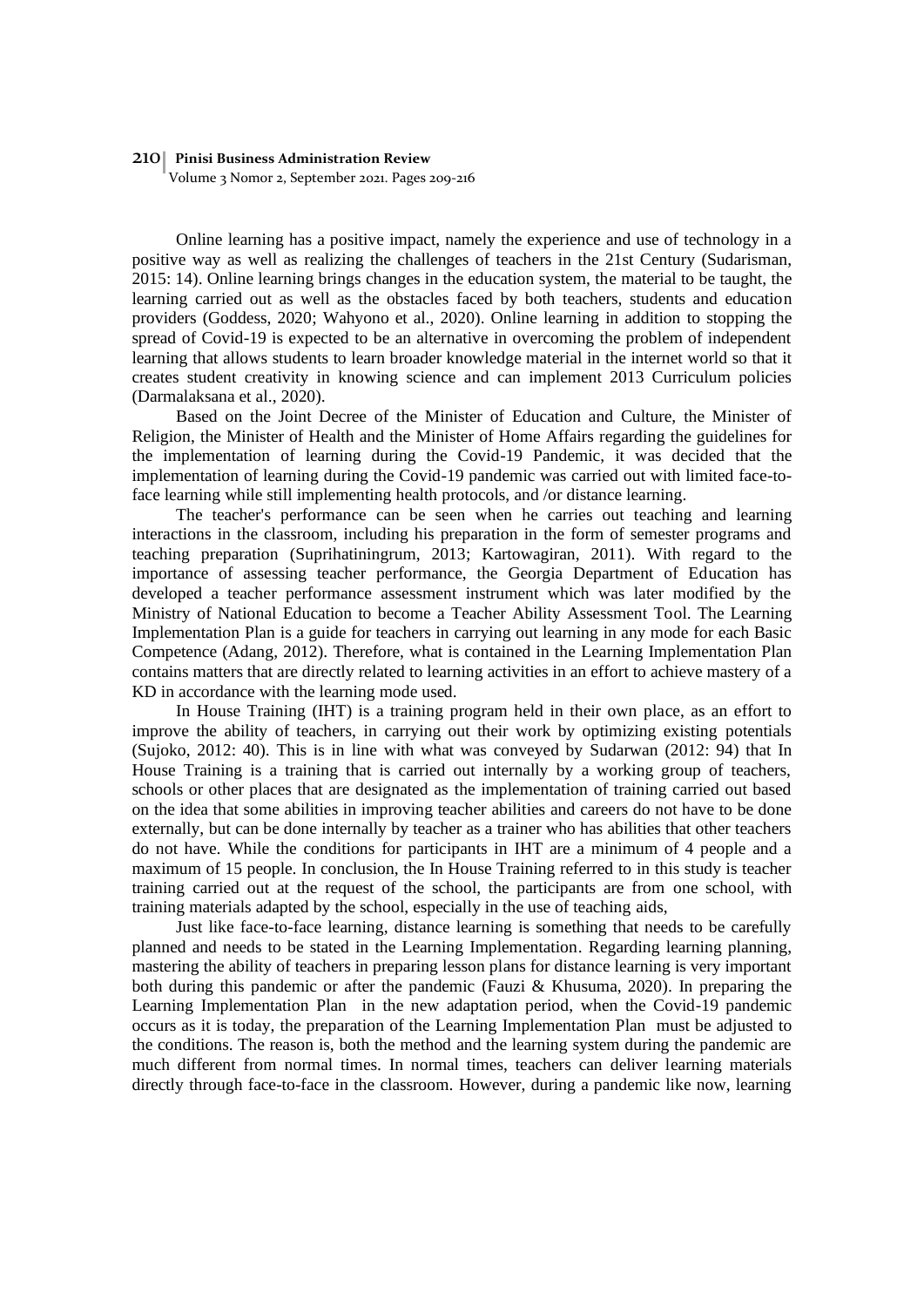#### 210 **Pinisi Business Administration Review**

Volume 3 Nomor 2, September 2021. Pages 209-216

Online learning has a positive impact, namely the experience and use of technology in a positive way as well as realizing the challenges of teachers in the 21st Century (Sudarisman, 2015: 14). Online learning brings changes in the education system, the material to be taught, the learning carried out as well as the obstacles faced by both teachers, students and education providers (Goddess, 2020; Wahyono et al., 2020). Online learning in addition to stopping the spread of Covid-19 is expected to be an alternative in overcoming the problem of independent learning that allows students to learn broader knowledge material in the internet world so that it creates student creativity in knowing science and can implement 2013 Curriculum policies (Darmalaksana et al., 2020).

Based on the Joint Decree of the Minister of Education and Culture, the Minister of Religion, the Minister of Health and the Minister of Home Affairs regarding the guidelines for the implementation of learning during the Covid-19 Pandemic, it was decided that the implementation of learning during the Covid-19 pandemic was carried out with limited face-toface learning while still implementing health protocols, and /or distance learning.

The teacher's performance can be seen when he carries out teaching and learning interactions in the classroom, including his preparation in the form of semester programs and teaching preparation (Suprihatiningrum, 2013; Kartowagiran, 2011). With regard to the importance of assessing teacher performance, the Georgia Department of Education has developed a teacher performance assessment instrument which was later modified by the Ministry of National Education to become a Teacher Ability Assessment Tool. The Learning Implementation Plan is a guide for teachers in carrying out learning in any mode for each Basic Competence (Adang, 2012). Therefore, what is contained in the Learning Implementation Plan contains matters that are directly related to learning activities in an effort to achieve mastery of a KD in accordance with the learning mode used.

In House Training (IHT) is a training program held in their own place, as an effort to improve the ability of teachers, in carrying out their work by optimizing existing potentials (Sujoko, 2012: 40). This is in line with what was conveyed by Sudarwan (2012: 94) that In House Training is a training that is carried out internally by a working group of teachers, schools or other places that are designated as the implementation of training carried out based on the idea that some abilities in improving teacher abilities and careers do not have to be done externally, but can be done internally by teacher as a trainer who has abilities that other teachers do not have. While the conditions for participants in IHT are a minimum of 4 people and a maximum of 15 people. In conclusion, the In House Training referred to in this study is teacher training carried out at the request of the school, the participants are from one school, with training materials adapted by the school, especially in the use of teaching aids,

Just like face-to-face learning, distance learning is something that needs to be carefully planned and needs to be stated in the Learning Implementation. Regarding learning planning, mastering the ability of teachers in preparing lesson plans for distance learning is very important both during this pandemic or after the pandemic (Fauzi & Khusuma, 2020). In preparing the Learning Implementation Plan in the new adaptation period, when the Covid-19 pandemic occurs as it is today, the preparation of the Learning Implementation Plan must be adjusted to the conditions. The reason is, both the method and the learning system during the pandemic are much different from normal times. In normal times, teachers can deliver learning materials directly through face-to-face in the classroom. However, during a pandemic like now, learning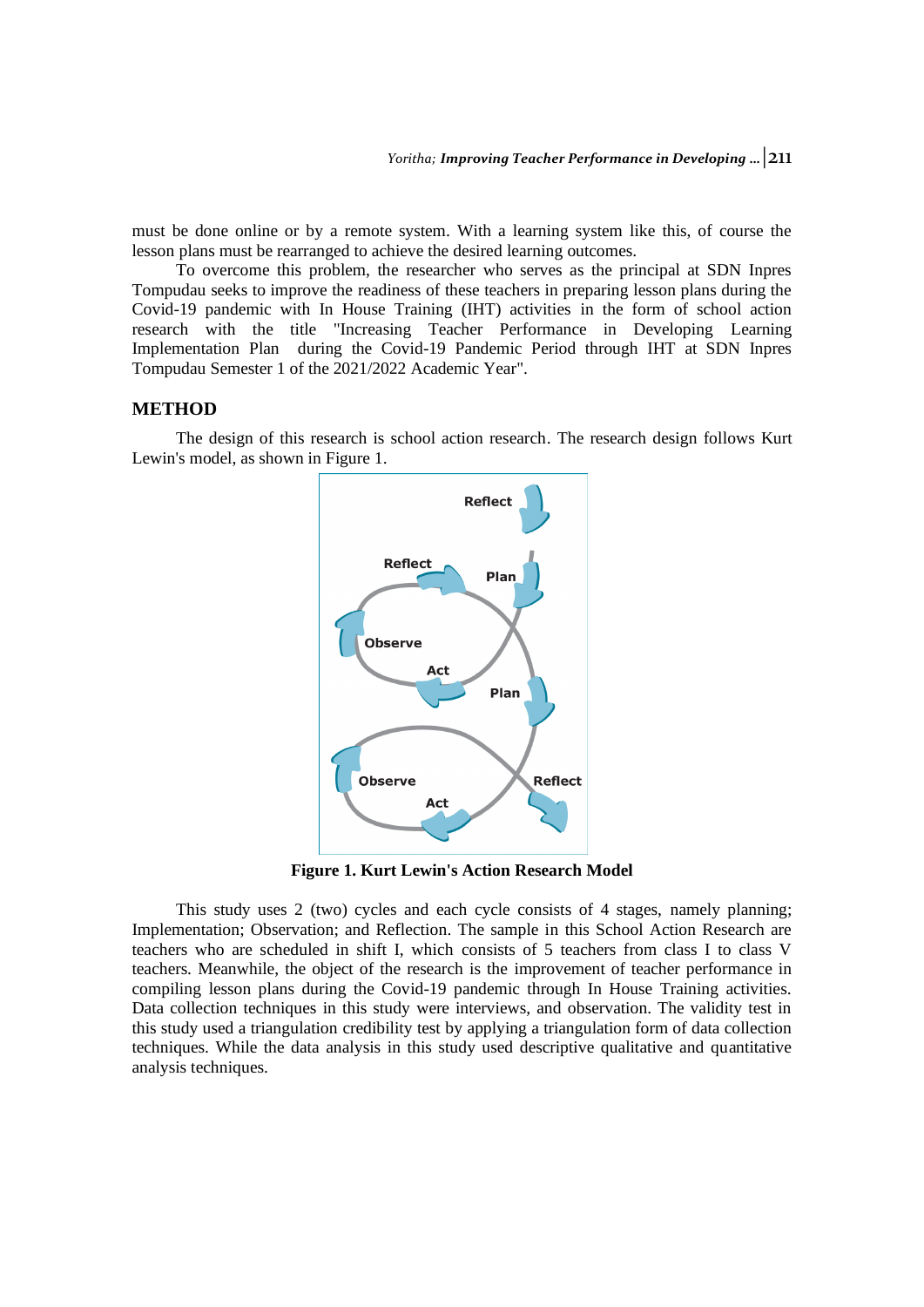must be done online or by a remote system. With a learning system like this, of course the lesson plans must be rearranged to achieve the desired learning outcomes.

To overcome this problem, the researcher who serves as the principal at SDN Inpres Tompudau seeks to improve the readiness of these teachers in preparing lesson plans during the Covid-19 pandemic with In House Training (IHT) activities in the form of school action research with the title "Increasing Teacher Performance in Developing Learning Implementation Plan during the Covid-19 Pandemic Period through IHT at SDN Inpres Tompudau Semester 1 of the 2021/2022 Academic Year".

## **METHOD**

The design of this research is school action research. The research design follows Kurt Lewin's model, as shown in Figure 1.



**Figure 1. Kurt Lewin's Action Research Model**

This study uses 2 (two) cycles and each cycle consists of 4 stages, namely planning; Implementation; Observation; and Reflection. The sample in this School Action Research are teachers who are scheduled in shift I, which consists of 5 teachers from class I to class V teachers. Meanwhile, the object of the research is the improvement of teacher performance in compiling lesson plans during the Covid-19 pandemic through In House Training activities. Data collection techniques in this study were interviews, and observation. The validity test in this study used a triangulation credibility test by applying a triangulation form of data collection techniques. While the data analysis in this study used descriptive qualitative and quantitative analysis techniques.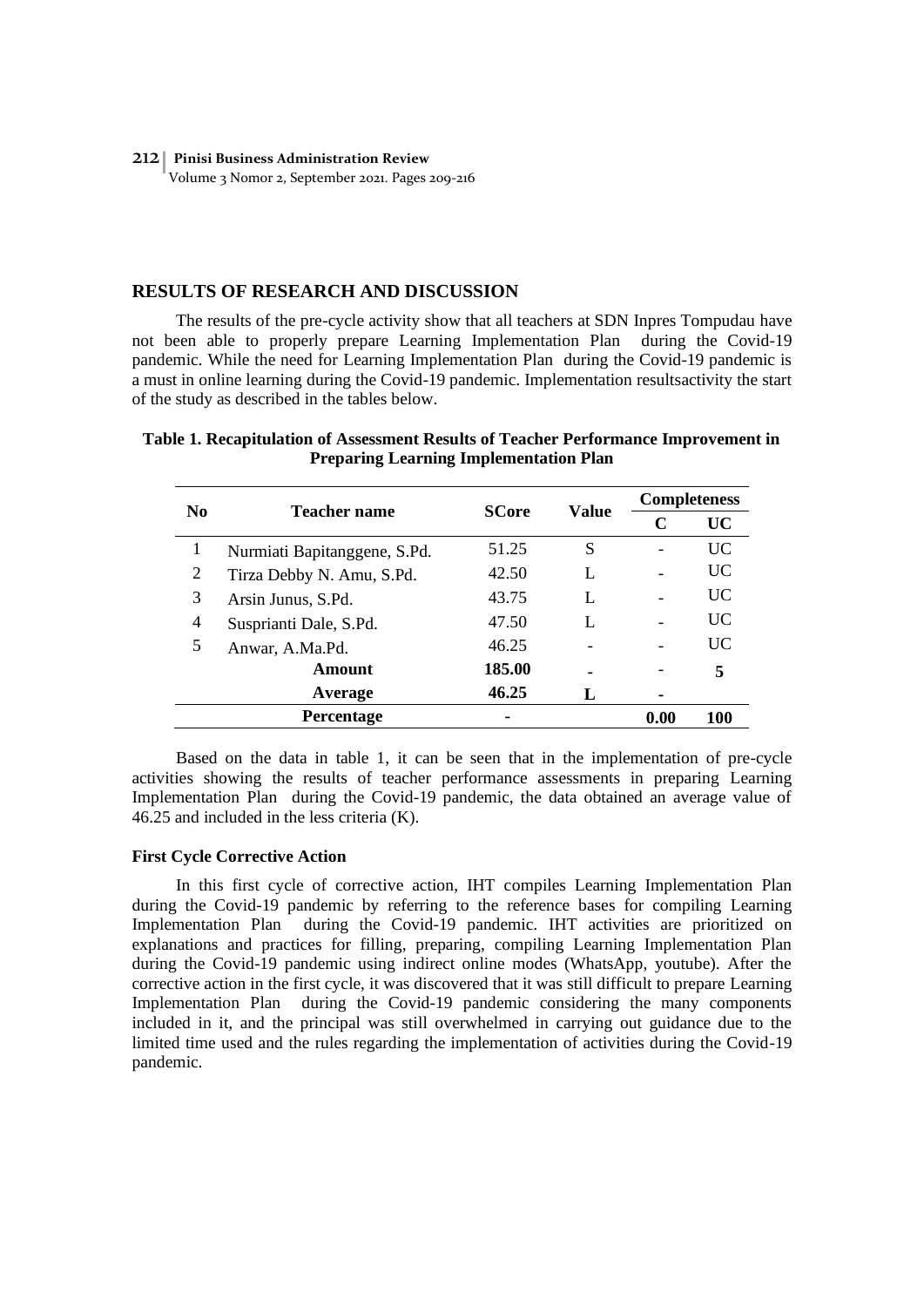#### 212 **Pinisi Business Administration Review** Volume 3 Nomor 2, September 2021. Pages 209-216

### **RESULTS OF RESEARCH AND DISCUSSION**

The results of the pre-cycle activity show that all teachers at SDN Inpres Tompudau have not been able to properly prepare Learning Implementation Plan during the Covid-19 pandemic. While the need for Learning Implementation Plan during the Covid-19 pandemic is a must in online learning during the Covid-19 pandemic. Implementation resultsactivity the start of the study as described in the tables below.

## **Table 1. Recapitulation of Assessment Results of Teacher Performance Improvement in Preparing Learning Implementation Plan**

| N <sub>0</sub> | <b>Teacher name</b>          | <b>SCore</b> | Value | <b>Completeness</b> |           |
|----------------|------------------------------|--------------|-------|---------------------|-----------|
|                |                              |              |       | C                   | <b>UC</b> |
| 1              | Nurmiati Bapitanggene, S.Pd. | 51.25        | S     |                     | UC.       |
| 2              | Tirza Debby N. Amu, S.Pd.    | 42.50        | L     |                     | UC.       |
| 3              | Arsin Junus, S.Pd.           | 43.75        |       |                     | UC        |
| $\overline{4}$ | Susprianti Dale, S.Pd.       | 47.50        | L     |                     | UC        |
| 5              | Anwar, A.Ma.Pd.              | 46.25        |       |                     | UC        |
|                | Amount                       | 185.00       |       |                     | 5         |
|                | Average                      | 46.25        | L     |                     |           |
|                | <b>Percentage</b>            |              |       | 0.00                | 100       |

Based on the data in table 1, it can be seen that in the implementation of pre-cycle activities showing the results of teacher performance assessments in preparing Learning Implementation Plan during the Covid-19 pandemic, the data obtained an average value of 46.25 and included in the less criteria (K).

#### **First Cycle Corrective Action**

In this first cycle of corrective action, IHT compiles Learning Implementation Plan during the Covid-19 pandemic by referring to the reference bases for compiling Learning Implementation Plan during the Covid-19 pandemic. IHT activities are prioritized on explanations and practices for filling, preparing, compiling Learning Implementation Plan during the Covid-19 pandemic using indirect online modes (WhatsApp, youtube). After the corrective action in the first cycle, it was discovered that it was still difficult to prepare Learning Implementation Plan during the Covid-19 pandemic considering the many components included in it, and the principal was still overwhelmed in carrying out guidance due to the limited time used and the rules regarding the implementation of activities during the Covid-19 pandemic.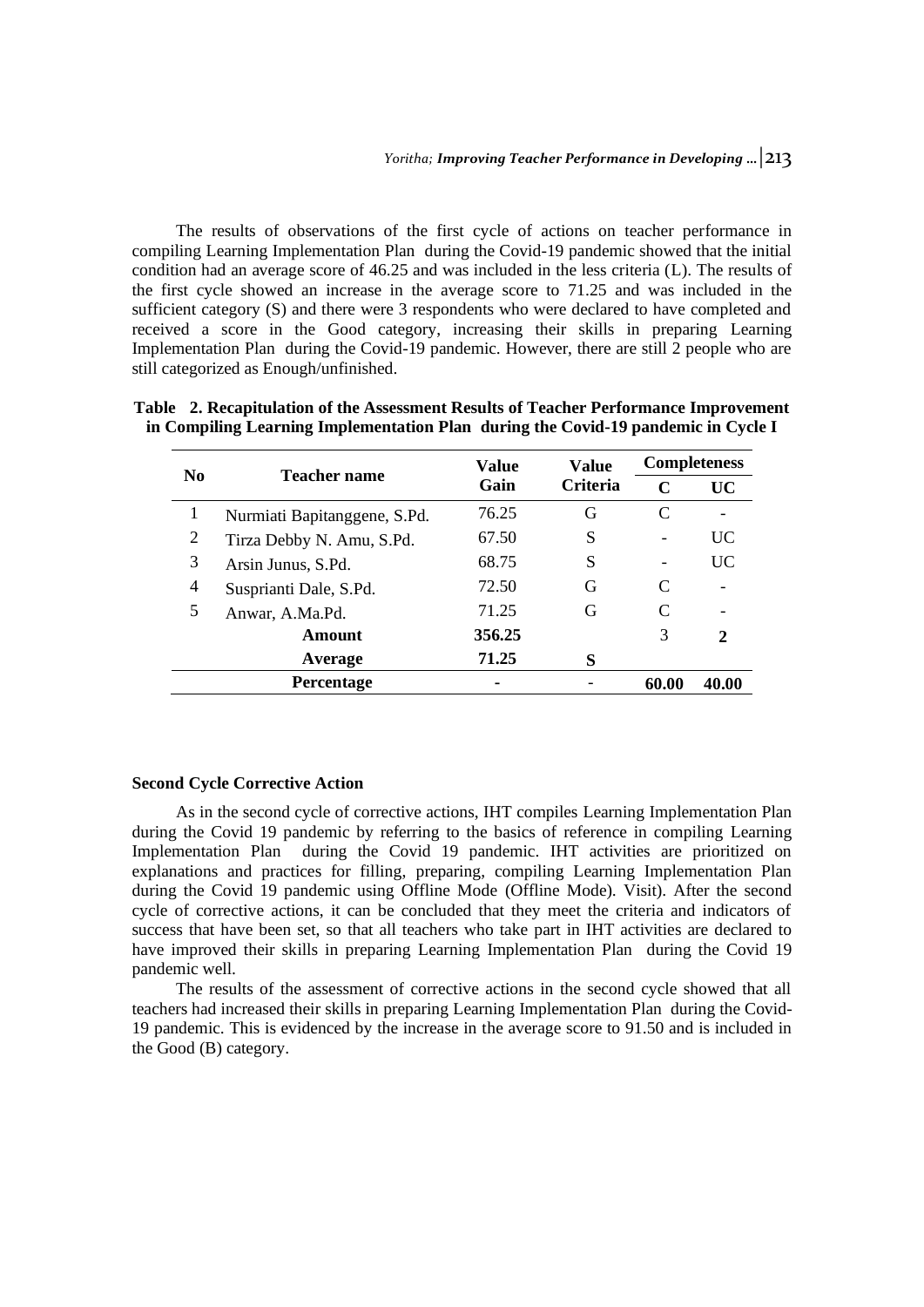The results of observations of the first cycle of actions on teacher performance in compiling Learning Implementation Plan during the Covid-19 pandemic showed that the initial condition had an average score of 46.25 and was included in the less criteria (L). The results of the first cycle showed an increase in the average score to 71.25 and was included in the sufficient category (S) and there were 3 respondents who were declared to have completed and received a score in the Good category, increasing their skills in preparing Learning Implementation Plan during the Covid-19 pandemic. However, there are still 2 people who are still categorized as Enough/unfinished.

| N <sub>0</sub> | <b>Teacher name</b>          | Value<br>Gain | <b>Value</b><br><b>Criteria</b> | <b>Completeness</b> |              |
|----------------|------------------------------|---------------|---------------------------------|---------------------|--------------|
|                |                              |               |                                 | C                   | <b>UC</b>    |
|                | Nurmiati Bapitanggene, S.Pd. | 76.25         | G                               |                     |              |
| 2              | Tirza Debby N. Amu, S.Pd.    | 67.50         | S                               |                     | UC           |
| 3              | Arsin Junus, S.Pd.           | 68.75         | S                               |                     | UC           |
| 4              | Susprianti Dale, S.Pd.       | 72.50         | G                               |                     |              |
| 5              | Anwar, A.Ma.Pd.              | 71.25         | G                               |                     |              |
|                | Amount                       | 356.25        |                                 | 3                   | $\mathbf{2}$ |
|                | Average                      | 71.25         | S                               |                     |              |
|                | <b>Percentage</b>            |               |                                 | 60.00               | 40.00        |

**Table 2. Recapitulation of the Assessment Results of Teacher Performance Improvement in Compiling Learning Implementation Plan during the Covid-19 pandemic in Cycle I**

#### **Second Cycle Corrective Action**

As in the second cycle of corrective actions, IHT compiles Learning Implementation Plan during the Covid 19 pandemic by referring to the basics of reference in compiling Learning Implementation Plan during the Covid 19 pandemic. IHT activities are prioritized on explanations and practices for filling, preparing, compiling Learning Implementation Plan during the Covid 19 pandemic using Offline Mode (Offline Mode). Visit). After the second cycle of corrective actions, it can be concluded that they meet the criteria and indicators of success that have been set, so that all teachers who take part in IHT activities are declared to have improved their skills in preparing Learning Implementation Plan during the Covid 19 pandemic well.

The results of the assessment of corrective actions in the second cycle showed that all teachers had increased their skills in preparing Learning Implementation Plan during the Covid-19 pandemic. This is evidenced by the increase in the average score to 91.50 and is included in the Good (B) category.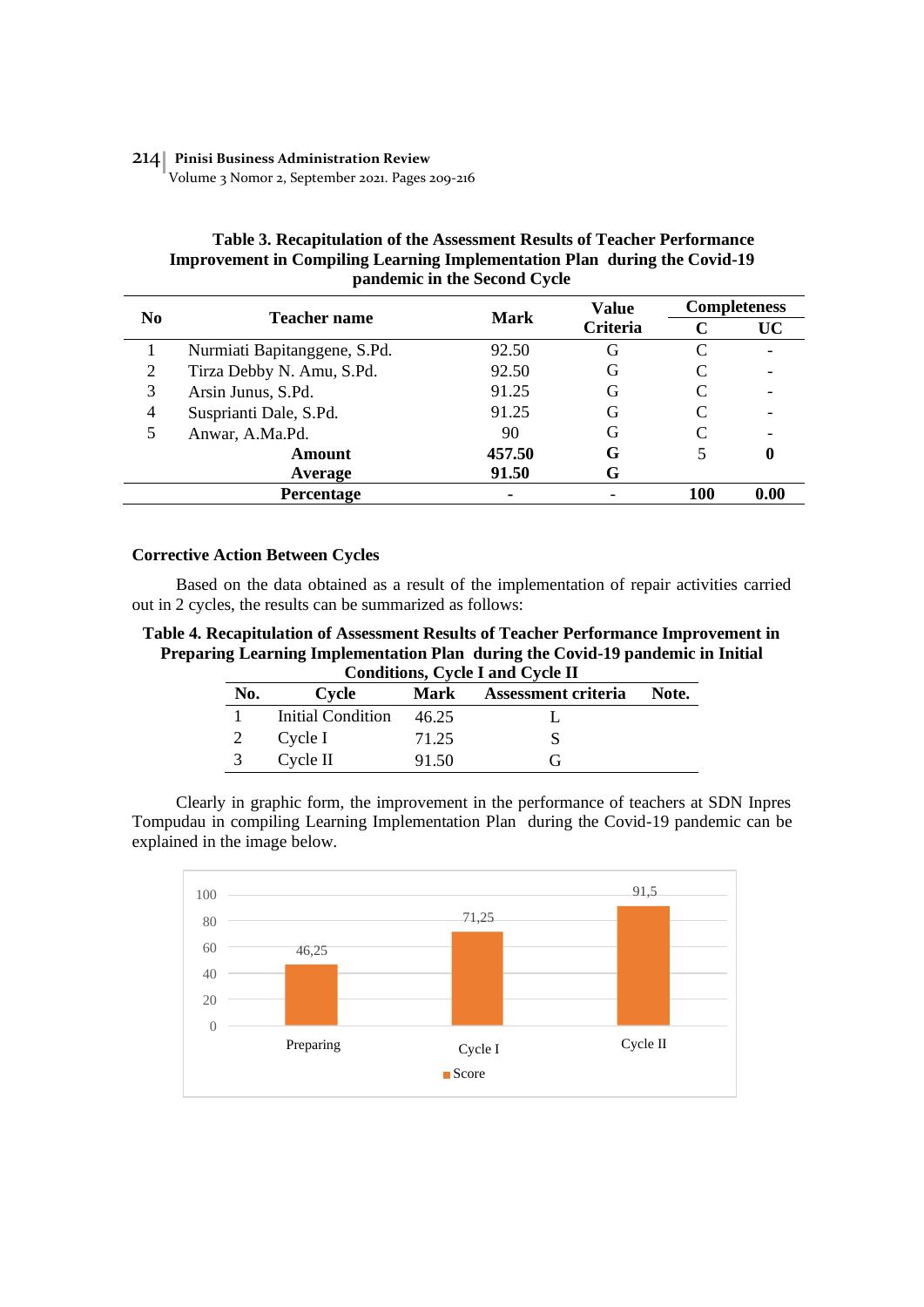#### 214 **Pinisi Business Administration Review**

Volume 3 Nomor 2, September 2021. Pages 209-216

## **Table 3. Recapitulation of the Assessment Results of Teacher Performance Improvement in Compiling Learning Implementation Plan during the Covid-19 pandemic in the Second Cycle**

| N <sub>0</sub> | <b>Teacher name</b>          | <b>Mark</b> | <b>Value</b><br>Criteria | <b>Completeness</b> |           |
|----------------|------------------------------|-------------|--------------------------|---------------------|-----------|
|                |                              |             |                          | C                   | <b>UC</b> |
|                | Nurmiati Bapitanggene, S.Pd. | 92.50       | G                        | C                   |           |
| 2              | Tirza Debby N. Amu, S.Pd.    | 92.50       | G                        | C                   |           |
| 3              | Arsin Junus, S.Pd.           | 91.25       | G                        |                     |           |
| $\overline{4}$ | Susprianti Dale, S.Pd.       | 91.25       | G                        |                     |           |
| 5              | Anwar, A.Ma.Pd.              | 90          | G                        |                     |           |
|                | <b>Amount</b>                | 457.50      | G                        |                     | $\bf{0}$  |
|                | Average                      | 91.50       | G                        |                     |           |
|                | Percentage                   | ۰           |                          | 100                 | 0.00      |

# **Corrective Action Between Cycles**

Based on the data obtained as a result of the implementation of repair activities carried out in 2 cycles, the results can be summarized as follows:

**Table 4. Recapitulation of Assessment Results of Teacher Performance Improvement in Preparing Learning Implementation Plan during the Covid-19 pandemic in Initial Conditions, Cycle I and Cycle II**

| No. | Cycle             |       | Assessment criteria<br>Mark | Note. |  |
|-----|-------------------|-------|-----------------------------|-------|--|
|     | Initial Condition | 46.25 |                             |       |  |
|     | Cycle I           | 71.25 |                             |       |  |
|     | Cycle II          | 91.50 | (÷                          |       |  |

Clearly in graphic form, the improvement in the performance of teachers at SDN Inpres Tompudau in compiling Learning Implementation Plan during the Covid-19 pandemic can be explained in the image below.

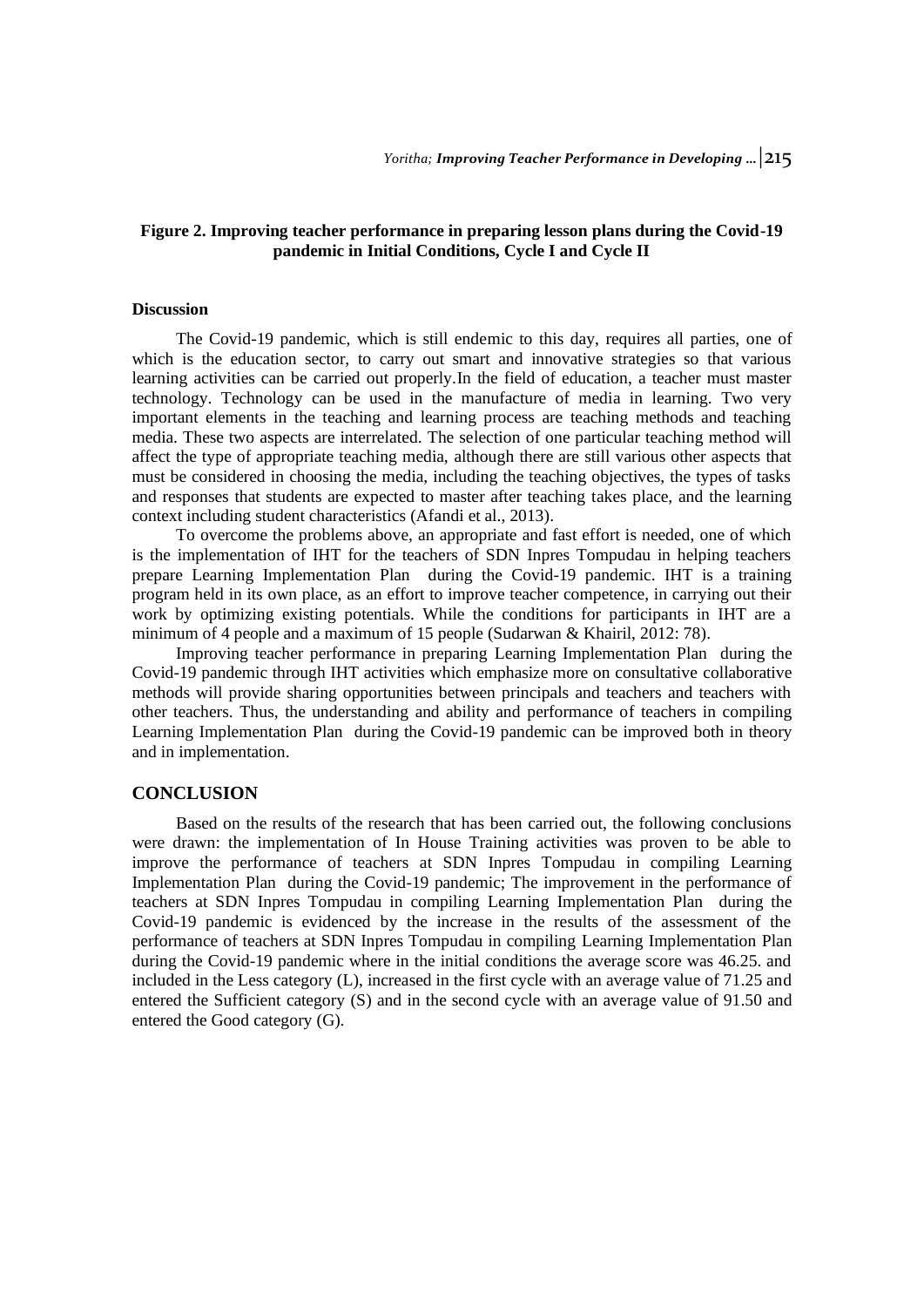# **Figure 2. Improving teacher performance in preparing lesson plans during the Covid-19 pandemic in Initial Conditions, Cycle I and Cycle II**

#### **Discussion**

The Covid-19 pandemic, which is still endemic to this day, requires all parties, one of which is the education sector, to carry out smart and innovative strategies so that various learning activities can be carried out properly.In the field of education, a teacher must master technology. Technology can be used in the manufacture of media in learning. Two very important elements in the teaching and learning process are teaching methods and teaching media. These two aspects are interrelated. The selection of one particular teaching method will affect the type of appropriate teaching media, although there are still various other aspects that must be considered in choosing the media, including the teaching objectives, the types of tasks and responses that students are expected to master after teaching takes place, and the learning context including student characteristics (Afandi et al., 2013).

To overcome the problems above, an appropriate and fast effort is needed, one of which is the implementation of IHT for the teachers of SDN Inpres Tompudau in helping teachers prepare Learning Implementation Plan during the Covid-19 pandemic. IHT is a training program held in its own place, as an effort to improve teacher competence, in carrying out their work by optimizing existing potentials. While the conditions for participants in IHT are a minimum of 4 people and a maximum of 15 people (Sudarwan & Khairil, 2012: 78).

Improving teacher performance in preparing Learning Implementation Plan during the Covid-19 pandemic through IHT activities which emphasize more on consultative collaborative methods will provide sharing opportunities between principals and teachers and teachers with other teachers. Thus, the understanding and ability and performance of teachers in compiling Learning Implementation Plan during the Covid-19 pandemic can be improved both in theory and in implementation.

## **CONCLUSION**

Based on the results of the research that has been carried out, the following conclusions were drawn: the implementation of In House Training activities was proven to be able to improve the performance of teachers at SDN Inpres Tompudau in compiling Learning Implementation Plan during the Covid-19 pandemic; The improvement in the performance of teachers at SDN Inpres Tompudau in compiling Learning Implementation Plan during the Covid-19 pandemic is evidenced by the increase in the results of the assessment of the performance of teachers at SDN Inpres Tompudau in compiling Learning Implementation Plan during the Covid-19 pandemic where in the initial conditions the average score was 46.25. and included in the Less category (L), increased in the first cycle with an average value of 71.25 and entered the Sufficient category (S) and in the second cycle with an average value of 91.50 and entered the Good category (G).